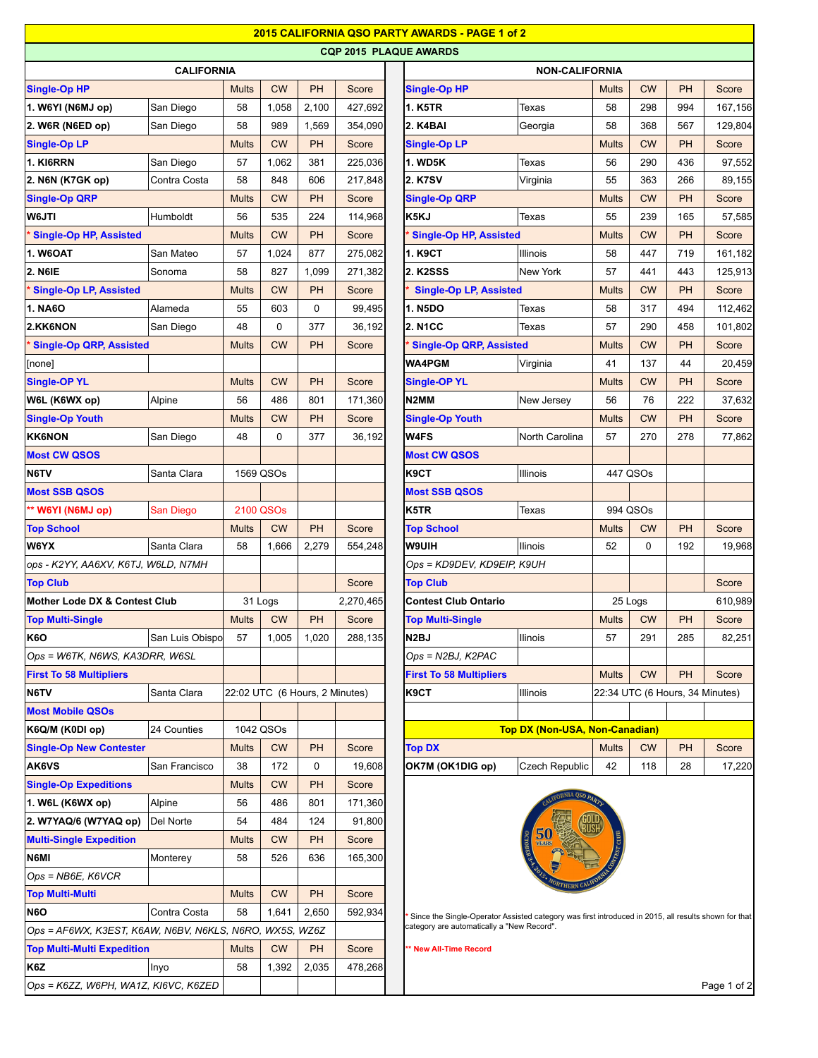|                                                         |                 |              |                                |           |           | 2015 CALIFORNIA QSO PARTY AWARDS - PAGE 1 of 2                                                       |                                       |              |                |           |                                 |  |
|---------------------------------------------------------|-----------------|--------------|--------------------------------|-----------|-----------|------------------------------------------------------------------------------------------------------|---------------------------------------|--------------|----------------|-----------|---------------------------------|--|
|                                                         |                 |              |                                |           |           | <b>CQP 2015 PLAQUE AWARDS</b>                                                                        |                                       |              |                |           |                                 |  |
| <b>CALIFORNIA</b>                                       |                 |              |                                |           |           | <b>NON-CALIFORNIA</b>                                                                                |                                       |              |                |           |                                 |  |
| <b>Single-Op HP</b>                                     |                 | <b>Mults</b> | <b>CW</b>                      | <b>PH</b> | Score     | Single-Op HP                                                                                         |                                       | <b>Mults</b> | <b>CW</b>      | PH        | Score                           |  |
| 1. W6YI (N6MJ op)                                       | San Diego       | 58           | 1,058                          | 2,100     | 427,692   | <b>1. K5TR</b>                                                                                       | Texas                                 | 58           | 298            | 994       | 167,156                         |  |
| 2. W6R (N6ED op)                                        | San Diego       | 58           | 989                            | 1,569     | 354,090   | 2. K4BAI                                                                                             | Georgia                               | 58           | 368            | 567       | 129,804                         |  |
| <b>Single-Op LP</b>                                     |                 | <b>Mults</b> | <b>CW</b>                      | PH        | Score     | <b>Single-Op LP</b>                                                                                  |                                       | <b>Mults</b> | <b>CW</b>      | PH        | Score                           |  |
| 1. KI6RRN                                               | San Diego       | 57           | 1,062                          | 381       | 225,036   | <b>1. WD5K</b>                                                                                       | Texas                                 | 56           | 290            | 436       | 97,552                          |  |
| 2. N6N (K7GK op)                                        | Contra Costa    | 58           | 848                            | 606       | 217,848   | <b>2. K7SV</b>                                                                                       | Virginia                              | 55           | 363            | 266       | 89,155                          |  |
| <b>Single-Op QRP</b>                                    |                 | <b>Mults</b> | <b>CW</b>                      | <b>PH</b> | Score     | <b>Single-Op QRP</b>                                                                                 |                                       | <b>Mults</b> | <b>CW</b>      | <b>PH</b> | Score                           |  |
| W6JTI                                                   | Humboldt        | 56           | 535                            | 224       | 114,968   | K5KJ                                                                                                 | Texas                                 | 55           | 239            | 165       | 57,585                          |  |
| <b>Single-Op HP, Assisted</b>                           |                 | <b>Mults</b> | <b>CW</b>                      | <b>PH</b> | Score     | <b>Single-Op HP, Assisted</b>                                                                        |                                       | <b>Mults</b> | <b>CW</b>      | <b>PH</b> | Score                           |  |
| <b>1. W6OAT</b>                                         | San Mateo       | 57           | 1,024                          | 877       | 275,082   | 1. K9CT                                                                                              | <b>Illinois</b>                       | 58           | 447            | 719       | 161,182                         |  |
| <b>2. N6IE</b>                                          | Sonoma          | 58           | 827                            | 1,099     | 271,382   | <b>2. K2SSS</b>                                                                                      | New York                              | 57           | 441            | 443       | 125,913                         |  |
| <b>Single-Op LP, Assisted</b>                           |                 | <b>Mults</b> | <b>CW</b>                      | <b>PH</b> | Score     | <b>Single-Op LP, Assisted</b>                                                                        |                                       | <b>Mults</b> | <b>CW</b>      | <b>PH</b> | Score                           |  |
| <b>1. NA6O</b>                                          | Alameda         | 55           | 603                            | 0         | 99,495    | <b>1. N5DO</b>                                                                                       | Texas                                 | 58           | 317            | 494       | 112,462                         |  |
| 2.KK6NON                                                | San Diego       | 48           | $\mathbf 0$                    | 377       | 36,192    | <b>2. N1CC</b>                                                                                       | Texas                                 | 57           | 290            | 458       | 101,802                         |  |
| <b>Single-Op QRP, Assisted</b>                          |                 | <b>Mults</b> | <b>CW</b>                      | <b>PH</b> | Score     | <b>Single-Op QRP, Assisted</b>                                                                       |                                       | <b>Mults</b> | <b>CW</b>      | <b>PH</b> | Score                           |  |
| [none]                                                  |                 |              |                                |           |           | <b>WA4PGM</b>                                                                                        | Virginia                              | 41           | 137            | 44        | 20,459                          |  |
| <b>Single-OP YL</b>                                     |                 | <b>Mults</b> | <b>CW</b>                      | <b>PH</b> | Score     | <b>Single-OP YL</b>                                                                                  |                                       | <b>Mults</b> | <b>CW</b>      | <b>PH</b> | Score                           |  |
| W6L (K6WX op)                                           | Alpine          | 56           | 486                            | 801       | 171,360   | N <sub>2</sub> MM                                                                                    | New Jersey                            | 56           | 76             | 222       | 37,632                          |  |
| <b>Single-Op Youth</b>                                  |                 | <b>Mults</b> | <b>CW</b>                      | <b>PH</b> | Score     | <b>Single-Op Youth</b>                                                                               |                                       | <b>Mults</b> | <b>CW</b>      | <b>PH</b> | Score                           |  |
| <b>KK6NON</b>                                           | San Diego       | 48           | 0                              | 377       | 36,192    | W4FS                                                                                                 | North Carolina                        | 57           | 270            | 278       | 77,862                          |  |
| <b>Most CW QSOS</b>                                     |                 |              |                                |           |           | <b>Most CW QSOS</b>                                                                                  |                                       |              |                |           |                                 |  |
| N6TV<br>Santa Clara                                     |                 | 1569 QSOs    |                                | K9CT      |           | 447 QSOs                                                                                             |                                       |              |                |           |                                 |  |
| <b>Most SSB QSOS</b>                                    |                 |              |                                |           |           | Illinois<br><b>Most SSB QSOS</b>                                                                     |                                       |              |                |           |                                 |  |
|                                                         |                 |              |                                |           |           | K5TR                                                                                                 |                                       |              | 994 QSOs       |           |                                 |  |
| ** W6YI (N6MJ op)                                       | San Diego       |              | 2100 QSOs                      |           |           |                                                                                                      | Texas                                 |              |                | PH        |                                 |  |
| <b>Top School</b><br>W6YX                               |                 | <b>Mults</b> | <b>CW</b>                      | <b>PH</b> | Score     | <b>Top School</b><br><b>W9UIH</b>                                                                    | Ilinois                               | <b>Mults</b> | <b>CW</b><br>0 | 192       | Score                           |  |
|                                                         | Santa Clara     | 58           | 1,666                          | 2,279     | 554,248   |                                                                                                      |                                       | 52           |                |           | 19,968                          |  |
| ops - K2YY, AA6XV, K6TJ, W6LD, N7MH                     |                 |              |                                |           |           |                                                                                                      | Ops = KD9DEV, KD9EIP, K9UH            |              |                |           |                                 |  |
| <b>Top Club</b>                                         |                 |              |                                |           | Score     | <b>Top Club</b>                                                                                      |                                       |              |                |           | Score                           |  |
| <b>Mother Lode DX &amp; Contest Club</b>                |                 |              | 31 Logs                        |           | 2,270,465 | <b>Contest Club Ontario</b>                                                                          |                                       |              | 25 Logs        |           | 610,989                         |  |
| <b>Top Multi-Single</b>                                 |                 | Mults        | <b>CW</b>                      | <b>PH</b> | Score     | <b>Top Multi-Single</b>                                                                              |                                       | Mults        | <b>CW</b>      | PH        | Score                           |  |
| K6O                                                     | San Luis Obispo | 57           | 1,005                          | 1,020     | 288,135   | N <sub>2</sub> BJ                                                                                    | <b>Ilinois</b>                        | 57           | 291            | 285       | 82,251                          |  |
| Ops = W6TK, N6WS, KA3DRR, W6SL                          |                 |              |                                |           |           | Ops = N2BJ, K2PAC                                                                                    |                                       |              |                |           |                                 |  |
| <b>First To 58 Multipliers</b>                          |                 |              |                                |           |           | <b>First To 58 Multipliers</b>                                                                       |                                       | <b>Mults</b> | <b>CW</b>      | PH        | Score                           |  |
| N6TV                                                    | Santa Clara     |              | 22:02 UTC (6 Hours, 2 Minutes) |           |           | K9CT                                                                                                 | Illinois                              |              |                |           | 22:34 UTC (6 Hours, 34 Minutes) |  |
| <b>Most Mobile QSOs</b>                                 |                 |              |                                |           |           |                                                                                                      |                                       |              |                |           |                                 |  |
| K6Q/M (K0DI op)                                         | 24 Counties     |              | 1042 QSOs                      |           |           |                                                                                                      | <b>Top DX (Non-USA, Non-Canadian)</b> |              |                |           |                                 |  |
| <b>Single-Op New Contester</b>                          |                 | <b>Mults</b> | <b>CW</b>                      | <b>PH</b> | Score     | <b>Top DX</b>                                                                                        |                                       | <b>Mults</b> | <b>CW</b>      | PH        | Score                           |  |
| <b>AK6VS</b>                                            | San Francisco   | 38           | 172                            | 0         | 19,608    | OK7M (OK1DIG op)                                                                                     | <b>Czech Republic</b>                 | 42           | 118            | 28        | 17,220                          |  |
| <b>Single-Op Expeditions</b>                            |                 | <b>Mults</b> | <b>CW</b>                      | PH        | Score     |                                                                                                      |                                       |              |                |           |                                 |  |
| 1. W6L (K6WX op)                                        | Alpine          | 56           | 486                            | 801       | 171,360   |                                                                                                      |                                       |              |                |           |                                 |  |
| 2. W7YAQ/6 (W7YAQ op)                                   | Del Norte       | 54           | 484                            | 124       | 91,800    |                                                                                                      |                                       |              |                |           |                                 |  |
| <b>Multi-Single Expedition</b>                          |                 | <b>Mults</b> | <b>CW</b>                      | <b>PH</b> | Score     |                                                                                                      |                                       |              |                |           |                                 |  |
| N6MI                                                    | Monterey        | 58           | 526                            | 636       | 165,300   |                                                                                                      |                                       |              |                |           |                                 |  |
| Ops = NB6E, K6VCR                                       |                 |              |                                |           |           |                                                                                                      |                                       |              |                |           |                                 |  |
| <b>Top Multi-Multi</b>                                  |                 | <b>Mults</b> | <b>CW</b>                      | <b>PH</b> | Score     |                                                                                                      |                                       |              |                |           |                                 |  |
| N6O                                                     | Contra Costa    | 58           | 1,641                          | 2,650     | 592,934   | Since the Single-Operator Assisted category was first introduced in 2015, all results shown for that |                                       |              |                |           |                                 |  |
| Ops = AF6WX, K3EST, K6AW, N6BV, N6KLS, N6RO, WX5S, WZ6Z |                 |              |                                |           |           | category are automatically a "New Record".                                                           |                                       |              |                |           |                                 |  |
| <b>Top Multi-Multi Expedition</b>                       |                 | <b>Mults</b> | <b>CW</b>                      | <b>PH</b> | Score     | * New All-Time Record                                                                                |                                       |              |                |           |                                 |  |
| K6Z                                                     | Inyo            | 58           | 1,392                          | 2,035     | 478,268   |                                                                                                      |                                       |              |                |           |                                 |  |
| Ops = K6ZZ, W6PH, WA1Z, KI6VC, K6ZED                    |                 |              |                                |           |           |                                                                                                      |                                       |              |                |           | Page 1 of 2                     |  |

## Page 1 of 2